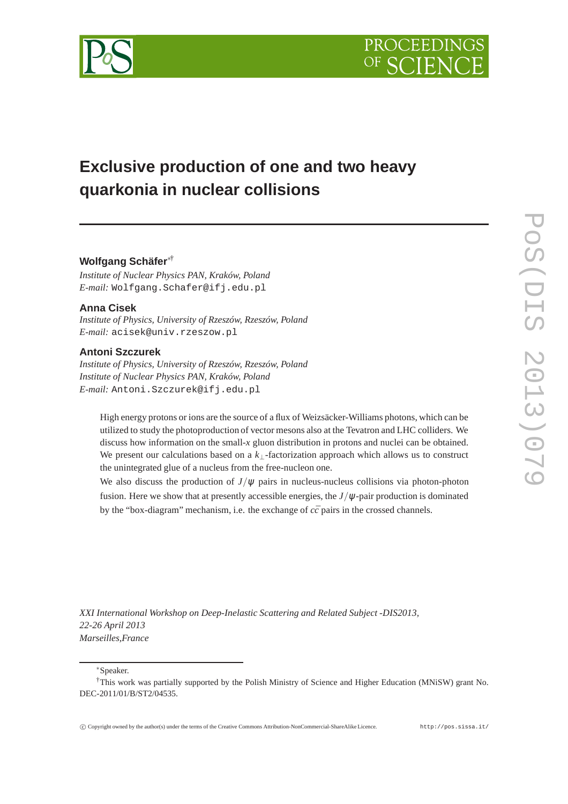

# **Exclusive production of one and two heavy quarkonia in nuclear collisions**

# **Wolfgang Schäfer**∗†

*Institute of Nuclear Physics PAN, Kraków, Poland E-mail:* Wolfgang.Schafer@ifj.edu.pl

# **Anna Cisek**

*Institute of Physics, University of Rzeszów, Rzeszów, Poland E-mail:* acisek@univ.rzeszow.pl

# **Antoni Szczurek**

*Institute of Physics, University of Rzeszów, Rzeszów, Poland Institute of Nuclear Physics PAN, Kraków, Poland E-mail:* Antoni.Szczurek@ifj.edu.pl

High energy protons or ions are the source of a flux of Weizsäcker-Williams photons, which can be utilized to study the photoproduction of vector mesons also at the Tevatron and LHC colliders. We discuss how information on the small-*x* gluon distribution in protons and nuclei can be obtained. We present our calculations based on a *k*⊥-factorization approach which allows us to construct the unintegrated glue of a nucleus from the free-nucleon one.

We also discuss the production of  $J/\psi$  pairs in nucleus-nucleus collisions via photon-photon fusion. Here we show that at presently accessible energies, the  $J/\psi$ -pair production is dominated by the "box-diagram" mechanism, i.e. the exchange of  $c\bar{c}$  pairs in the crossed channels.

*XXI International Workshop on Deep-Inelastic Scattering and Related Subject -DIS2013, 22-26 April 2013 Marseilles,France*

∗Speaker.

<sup>†</sup>This work was partially supported by the Polish Ministry of Science and Higher Education (MNiSW) grant No. DEC-2011/01/B/ST2/04535.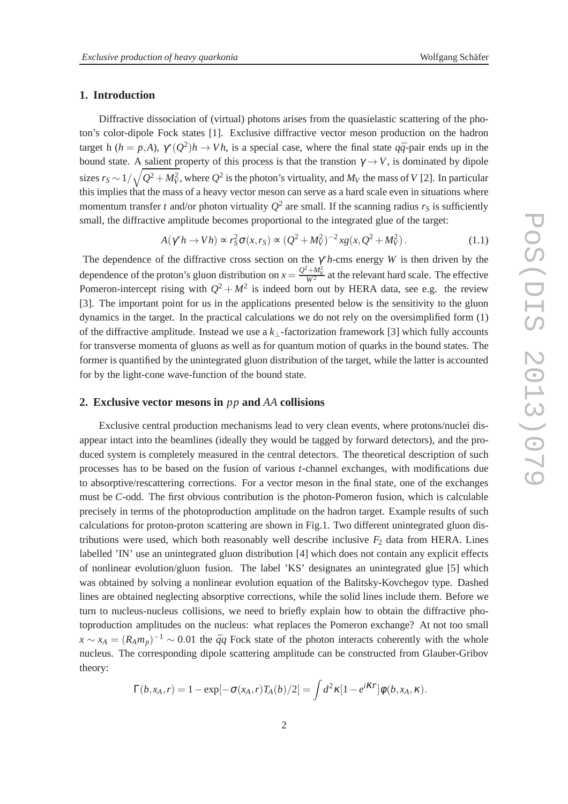#### **1. Introduction**

Diffractive dissociation of (virtual) photons arises from the quasielastic scattering of the photon's color-dipole Fock states [1]. Exclusive diffractive vector meson production on the hadron target h ( $h = p,A$ ),  $\gamma^*(Q^2)h \to Vh$ , is a special case, where the final state  $q\bar{q}$ -pair ends up in the bound state. A salient property of this process is that the transtion  $\gamma \rightarrow V$ , is dominated by dipole sizes  $r_S$  ∼ 1/ $\sqrt{Q^2+M_V^2}$ , where  $Q^2$  is the photon's virtuality, and  $M_V$  the mass of  $V$  [2]. In particular this implies that the mass of a heavy vector meson can serve as a hard scale even in situations where momentum transfer *t* and/or photon virtuality  $Q^2$  are small. If the scanning radius  $r_S$  is sufficiently small, the diffractive amplitude becomes proportional to the integrated glue of the target:

$$
A(\gamma^* h \to V h) \propto r_S^2 \sigma(x, r_S) \propto (Q^2 + M_V^2)^{-2} x g(x, Q^2 + M_V^2).
$$
 (1.1)

The dependence of the diffractive cross section on the  $\gamma^* h$ -cms energy *W* is then driven by the dependence of the proton's gluon distribution on  $x = \frac{Q^2 + M_V^2}{W^2}$  at the relevant hard scale. The effective Pomeron-intercept rising with  $Q^2 + M^2$  is indeed born out by HERA data, see e.g. the review [3]. The important point for us in the applications presented below is the sensitivity to the gluon dynamics in the target. In the practical calculations we do not rely on the oversimplified form (1) of the diffractive amplitude. Instead we use a *k*⊥-factorization framework [3] which fully accounts for transverse momenta of gluons as well as for quantum motion of quarks in the bound states. The former is quantified by the unintegrated gluon distribution of the target, while the latter is accounted for by the light-cone wave-function of the bound state.

#### **2. Exclusive vector mesons in** *pp* **and** *AA* **collisions**

Exclusive central production mechanisms lead to very clean events, where protons/nuclei disappear intact into the beamlines (ideally they would be tagged by forward detectors), and the produced system is completely measured in the central detectors. The theoretical description of such processes has to be based on the fusion of various *t*-channel exchanges, with modifications due to absorptive/rescattering corrections. For a vector meson in the final state, one of the exchanges must be *C*-odd. The first obvious contribution is the photon-Pomeron fusion, which is calculable precisely in terms of the photoproduction amplitude on the hadron target. Example results of such calculations for proton-proton scattering are shown in Fig.1. Two different unintegrated gluon distributions were used, which both reasonably well describe inclusive  $F<sub>2</sub>$  data from HERA. Lines labelled 'IN' use an unintegrated gluon distribution [4] which does not contain any explicit effects of nonlinear evolution/gluon fusion. The label 'KS' designates an unintegrated glue [5] which was obtained by solving a nonlinear evolution equation of the Balitsky-Kovchegov type. Dashed lines are obtained neglecting absorptive corrections, while the solid lines include them. Before we turn to nucleus-nucleus collisions, we need to briefly explain how to obtain the diffractive photoproduction amplitudes on the nucleus: what replaces the Pomeron exchange? At not too small  $x \sim x_A = (R_A m_p)^{-1} \sim 0.01$  the  $\bar{q}q$  Fock state of the photon interacts coherently with the whole nucleus. The corresponding dipole scattering amplitude can be constructed from Glauber-Gribov theory:

$$
\Gamma(b,x_A,r)=1-\exp[-\sigma(x_A,r)T_A(b)/2]=\int d^2\kappa[1-e^{i\kappa r}]\phi(b,x_A,\kappa).
$$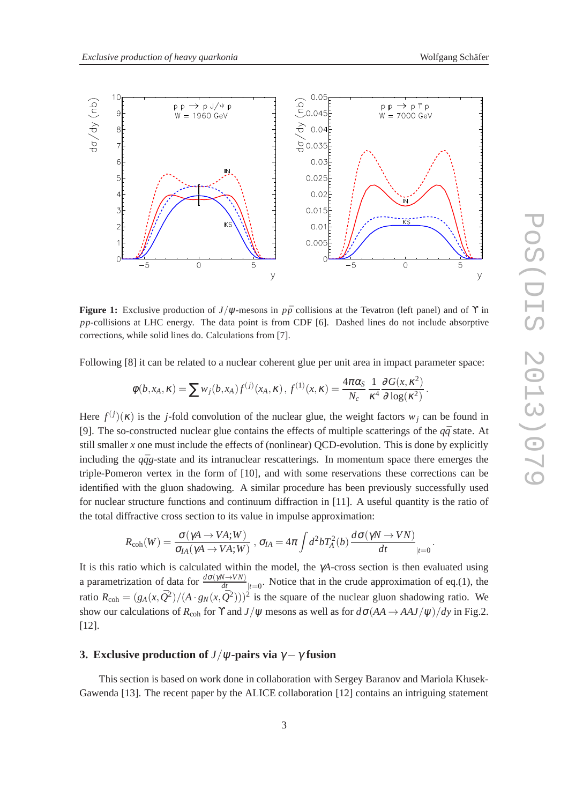

**Figure 1:** Exclusive production of *J*/ $\psi$ -mesons in *p* $\bar{p}$  collisions at the Tevatron (left panel) and of  $\Upsilon$  in *pp*-collisions at LHC energy. The data point is from CDF [6]. Dashed lines do not include absorptive corrections, while solid lines do. Calculations from [7].

Following  $[8]$  it can be related to a nuclear coherent glue per unit area in impact parameter space:

$$
\phi(b,x_A,\kappa)=\sum w_j(b,x_A)f^{(j)}(x_A,\kappa), f^{(1)}(x,\kappa)=\frac{4\pi\alpha_S}{N_c}\frac{1}{\kappa^4}\frac{\partial G(x,\kappa^2)}{\partial \log(\kappa^2)}.
$$

Here  $f^{(j)}(\kappa)$  is the *j*-fold convolution of the nuclear glue, the weight factors  $w_j$  can be found in [9]. The so-constructed nuclear glue contains the effects of multiple scatterings of the  $q\bar{q}$  state. At still smaller  $x$  one must include the effects of (nonlinear) QCD-evolution. This is done by explicitly including the  $q\bar{q}g$ -state and its intranuclear rescatterings. In momentum space there emerges the triple-Pomeron vertex in the form of [10], and with some reservations these corrections can be identified with the gluon shadowing. A similar procedure has been previously successfully used for nuclear structure functions and continuum diffraction in [11]. A useful quantity is the ratio of the total diffractive cross section to its value in impulse approximation:

$$
R_{\rm coh}(W)=\frac{\sigma(\gamma A\to VA;W)}{\sigma_{IA}(\gamma A\to VA;W)}\ ,\ \sigma_{IA}=4\pi\int d^2bT_A^2(b)\,\frac{d\sigma(\gamma N\to VN)}{dt}_{|t=0}\,.
$$

It is this ratio which is calculated within the model, the γ*A*-cross section is then evaluated using a parametrization of data for  $\frac{d\sigma(\gamma N \to V N)}{dt}$ <sub> $|t=0$ </sub>. Notice that in the crude approximation of eq.(1), the ratio  $R_{coh} = (g_A(x, \bar{Q}^2)/(A \cdot g_N(x, \bar{Q}^2)))^2$  is the square of the nuclear gluon shadowing ratio. We show our calculations of  $R_{coh}$  for  $\Upsilon$  and  $J/\psi$  mesons as well as for  $d\sigma(AA \rightarrow AAJ/\psi)/dy$  in Fig.2. [12].

# **3. Exclusive production of** *J*/ $\psi$ -pairs via  $\gamma - \gamma$  fusion

This section is based on work done in collaboration with Sergey Baranov and Mariola Kłusek-Gawenda [13]. The recent paper by the ALICE collaboration [12] contains an intriguing statement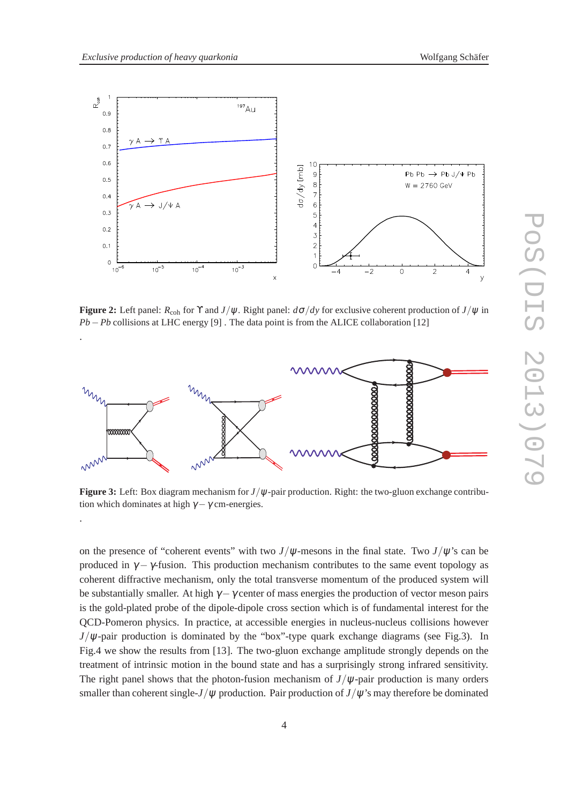.

.



**Figure 2:** Left panel:  $R_{coh}$  for Y and  $J/\psi$ . Right panel:  $d\sigma/dy$  for exclusive coherent production of  $J/\psi$  in *Pb* − *Pb* collisions at LHC energy [9]. The data point is from the ALICE collaboration [12]



**Figure 3:** Left: Box diagram mechanism for *J*/ψ-pair production. Right: the two-gluon exchange contribution which dominates at high  $\gamma - \gamma$  cm-energies.

on the presence of "coherent events" with two  $J/\psi$ -mesons in the final state. Two  $J/\psi$ 's can be produced in  $\gamma - \gamma$ -fusion. This production mechanism contributes to the same event topology as coherent diffractive mechanism, only the total transverse momentum of the produced system will be substantially smaller. At high  $\gamma - \gamma$  center of mass energies the production of vector meson pairs is the gold-plated probe of the dipole-dipole cross section which is of fundamental interest for the QCD-Pomeron physics. In practice, at accessible energies in nucleus-nucleus collisions however  $J/\psi$ -pair production is dominated by the "box"-type quark exchange diagrams (see Fig.3). In Fig.4 we show the results from [13]. The two-gluon exchange amplitude strongly depends on the treatment of intrinsic motion in the bound state and has a surprisingly strong infrared sensitivity. The right panel shows that the photon-fusion mechanism of  $J/\psi$ -pair production is many orders smaller than coherent single-*J*/ $\psi$  production. Pair production of *J*/ $\psi$ 's may therefore be dominated